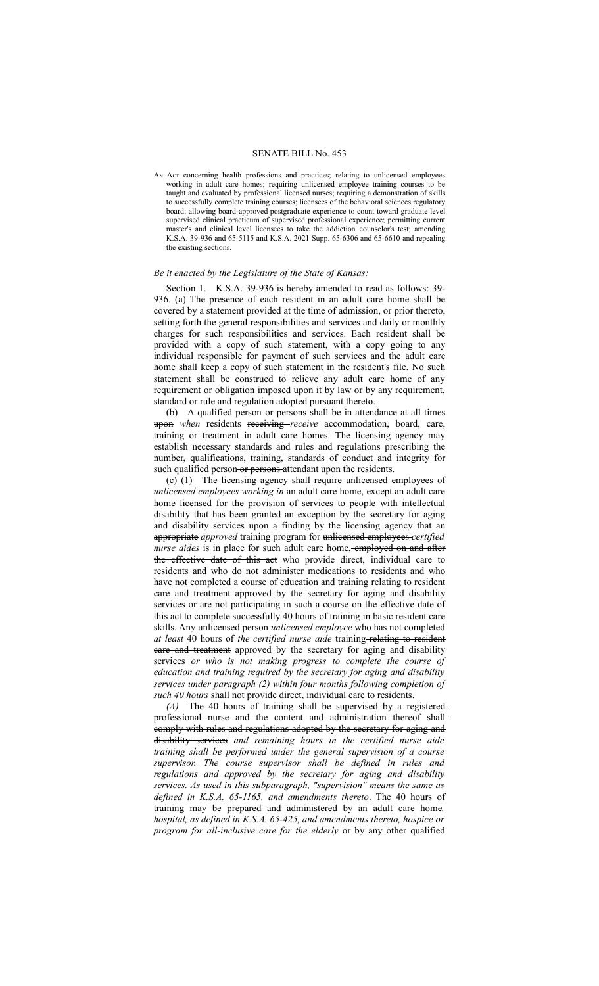## SENATE BILL No. 453

AN ACT concerning health professions and practices; relating to unlicensed employees working in adult care homes; requiring unlicensed employee training courses to be taught and evaluated by professional licensed nurses; requiring a demonstration of skills to successfully complete training courses; licensees of the behavioral sciences regulatory board; allowing board-approved postgraduate experience to count toward graduate level supervised clinical practicum of supervised professional experience; permitting current master's and clinical level licensees to take the addiction counselor's test; amending K.S.A. 39-936 and 65-5115 and K.S.A. 2021 Supp. 65-6306 and 65-6610 and repealing the existing sections.

## *Be it enacted by the Legislature of the State of Kansas:*

Section 1. K.S.A. 39-936 is hereby amended to read as follows: 39- 936. (a) The presence of each resident in an adult care home shall be covered by a statement provided at the time of admission, or prior thereto, setting forth the general responsibilities and services and daily or monthly charges for such responsibilities and services. Each resident shall be provided with a copy of such statement, with a copy going to any individual responsible for payment of such services and the adult care home shall keep a copy of such statement in the resident's file. No such statement shall be construed to relieve any adult care home of any requirement or obligation imposed upon it by law or by any requirement, standard or rule and regulation adopted pursuant thereto.

(b) A qualified person- $or$  persons shall be in attendance at all times upon *when* residents receiving *receive* accommodation, board, care, training or treatment in adult care homes. The licensing agency may establish necessary standards and rules and regulations prescribing the number, qualifications, training, standards of conduct and integrity for such qualified person-or persons attendant upon the residents.

(c)  $(1)$  The licensing agency shall require unlicensed employees of *unlicensed employees working in* an adult care home, except an adult care home licensed for the provision of services to people with intellectual disability that has been granted an exception by the secretary for aging and disability services upon a finding by the licensing agency that an appropriate *approved* training program for unlicensed employees *certified nurse aides* is in place for such adult care home, employed on and afterthe effective date of this act who provide direct, individual care to residents and who do not administer medications to residents and who have not completed a course of education and training relating to resident care and treatment approved by the secretary for aging and disability services or are not participating in such a course on the effective date of this aet to complete successfully 40 hours of training in basic resident care skills. Any unlicensed person *unlicensed employee* who has not completed *at least* 40 hours of *the certified nurse aide* training relating to resident eare and treatment approved by the secretary for aging and disability services *or who is not making progress to complete the course of education and training required by the secretary for aging and disability services under paragraph (2) within four months following completion of such 40 hours* shall not provide direct, individual care to residents.

*(A)* The 40 hours of training shall be supervised by a registered professional nurse and the content and administration thereof shall comply with rules and regulations adopted by the secretary for aging and disability services *and remaining hours in the certified nurse aide training shall be performed under the general supervision of a course supervisor. The course supervisor shall be defined in rules and regulations and approved by the secretary for aging and disability services. As used in this subparagraph, "supervision" means the same as defined in K.S.A. 65-1165, and amendments thereto*. The 40 hours of training may be prepared and administered by an adult care home*, hospital, as defined in K.S.A. 65-425, and amendments thereto, hospice or program for all-inclusive care for the elderly* or by any other qualified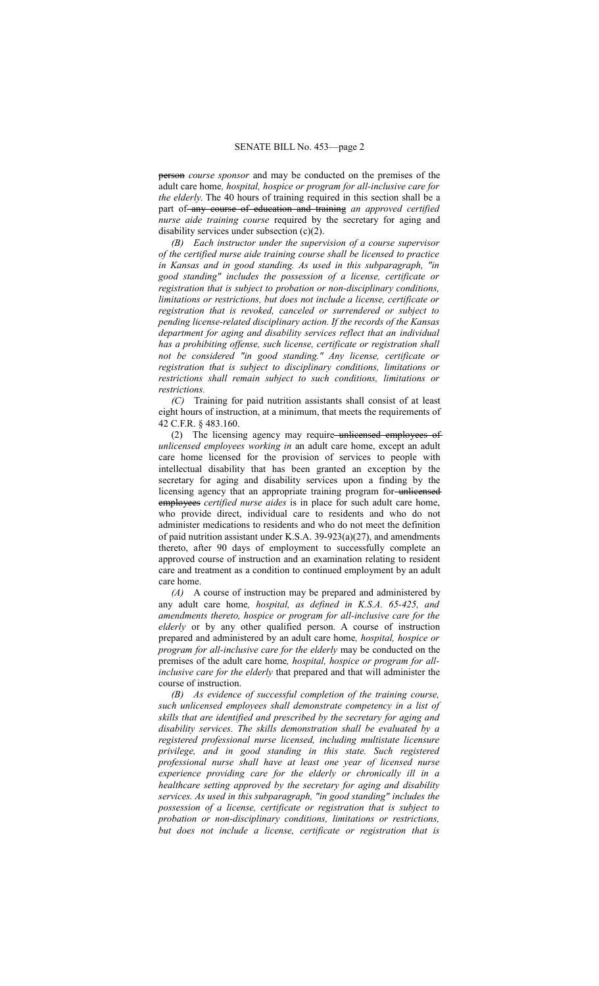person *course sponsor* and may be conducted on the premises of the adult care home*, hospital, hospice or program for all-inclusive care for the elderly*. The 40 hours of training required in this section shall be a part of any course of education and training *an approved certified nurse aide training course* required by the secretary for aging and disability services under subsection (c)(2).

*(B) Each instructor under the supervision of a course supervisor of the certified nurse aide training course shall be licensed to practice in Kansas and in good standing. As used in this subparagraph, "in good standing" includes the possession of a license, certificate or registration that is subject to probation or non-disciplinary conditions, limitations or restrictions, but does not include a license, certificate or registration that is revoked, canceled or surrendered or subject to pending license-related disciplinary action. If the records of the Kansas department for aging and disability services reflect that an individual has a prohibiting offense, such license, certificate or registration shall not be considered "in good standing." Any license, certificate or registration that is subject to disciplinary conditions, limitations or restrictions shall remain subject to such conditions, limitations or restrictions.*

*(C)* Training for paid nutrition assistants shall consist of at least eight hours of instruction, at a minimum, that meets the requirements of 42 C.F.R. § 483.160.

(2) The licensing agency may require unlicensed employees of *unlicensed employees working in* an adult care home, except an adult care home licensed for the provision of services to people with intellectual disability that has been granted an exception by the secretary for aging and disability services upon a finding by the licensing agency that an appropriate training program for-unlicensed employees *certified nurse aides* is in place for such adult care home, who provide direct, individual care to residents and who do not administer medications to residents and who do not meet the definition of paid nutrition assistant under K.S.A. 39-923(a)(27), and amendments thereto, after 90 days of employment to successfully complete an approved course of instruction and an examination relating to resident care and treatment as a condition to continued employment by an adult care home.

*(A)* A course of instruction may be prepared and administered by any adult care home*, hospital, as defined in K.S.A. 65-425, and amendments thereto, hospice or program for all-inclusive care for the elderly* or by any other qualified person. A course of instruction prepared and administered by an adult care home*, hospital, hospice or program for all-inclusive care for the elderly* may be conducted on the premises of the adult care home*, hospital, hospice or program for allinclusive care for the elderly* that prepared and that will administer the course of instruction.

*(B) As evidence of successful completion of the training course, such unlicensed employees shall demonstrate competency in a list of skills that are identified and prescribed by the secretary for aging and disability services. The skills demonstration shall be evaluated by a registered professional nurse licensed, including multistate licensure privilege, and in good standing in this state. Such registered professional nurse shall have at least one year of licensed nurse experience providing care for the elderly or chronically ill in a healthcare setting approved by the secretary for aging and disability services. As used in this subparagraph, "in good standing" includes the possession of a license, certificate or registration that is subject to probation or non-disciplinary conditions, limitations or restrictions, but does not include a license, certificate or registration that is*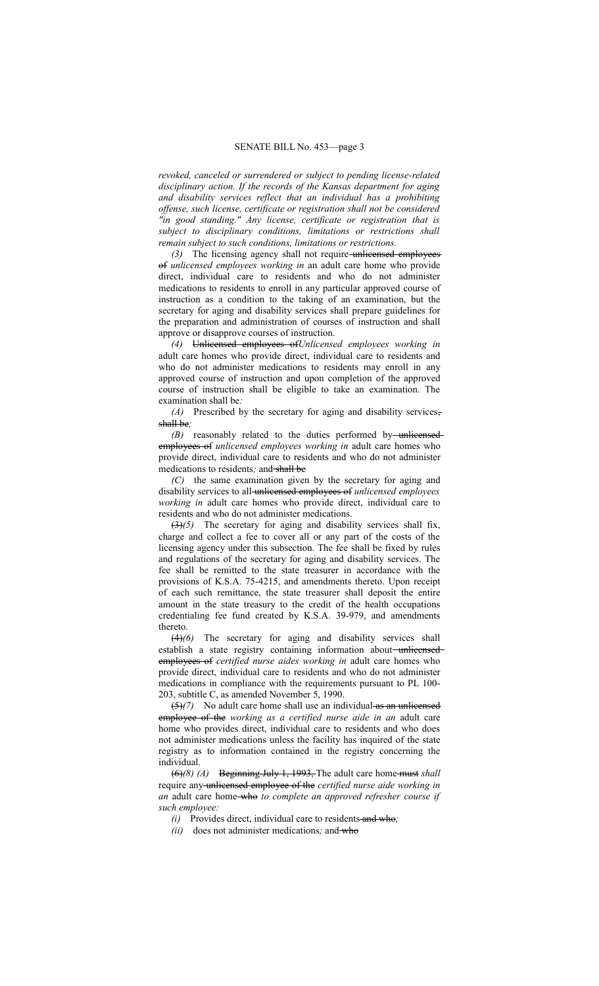*revoked, canceled or surrendered or subject to pending license-related disciplinary action. If the records of the Kansas department for aging and disability services reflect that an individual has a prohibiting offense, such license, certificate or registration shall not be considered "in good standing." Any license, certificate or registration that is subject to disciplinary conditions, limitations or restrictions shall remain subject to such conditions, limitations or restrictions.*

*(3)* The licensing agency shall not require unlicensed employees of *unlicensed employees working in* an adult care home who provide direct, individual care to residents and who do not administer medications to residents to enroll in any particular approved course of instruction as a condition to the taking of an examination, but the secretary for aging and disability services shall prepare guidelines for the preparation and administration of courses of instruction and shall approve or disapprove courses of instruction.

*(4)* Unlicensed employees of*Unlicensed employees working in* adult care homes who provide direct, individual care to residents and who do not administer medications to residents may enroll in any approved course of instruction and upon completion of the approved course of instruction shall be eligible to take an examination. The examination shall be*:*

*(A)* Prescribed by the secretary for aging and disability services, shall be*;*

*(B)* reasonably related to the duties performed by unlicensed employees of *unlicensed employees working in* adult care homes who provide direct, individual care to residents and who do not administer medications to residents*;* and shall be

*(C)* the same examination given by the secretary for aging and disability services to all unlicensed employees of *unlicensed employees working in* adult care homes who provide direct, individual care to residents and who do not administer medications.

(3)*(5)* The secretary for aging and disability services shall fix, charge and collect a fee to cover all or any part of the costs of the licensing agency under this subsection. The fee shall be fixed by rules and regulations of the secretary for aging and disability services. The fee shall be remitted to the state treasurer in accordance with the provisions of K.S.A. 75-4215, and amendments thereto. Upon receipt of each such remittance, the state treasurer shall deposit the entire amount in the state treasury to the credit of the health occupations credentialing fee fund created by K.S.A. 39-979, and amendments thereto.

(4)*(6)* The secretary for aging and disability services shall establish a state registry containing information about-unlicensedemployees of *certified nurse aides working in* adult care homes who provide direct, individual care to residents and who do not administer medications in compliance with the requirements pursuant to PL 100- 203, subtitle C, as amended November 5, 1990.

(5)*(7)* No adult care home shall use an individual as an unlicensed employee of the *working as a certified nurse aide in an* adult care home who provides direct, individual care to residents and who does not administer medications unless the facility has inquired of the state registry as to information contained in the registry concerning the individual.

(6)*(8) (A)* Beginning July 1, 1993, The adult care home must *shall* require any unlicensed employee of the *certified nurse aide working in an* adult care home who *to complete an approved refresher course if such employee:*

*(i)* Provides direct, individual care to residents and who*;*

*(ii)* does not administer medications*;* and who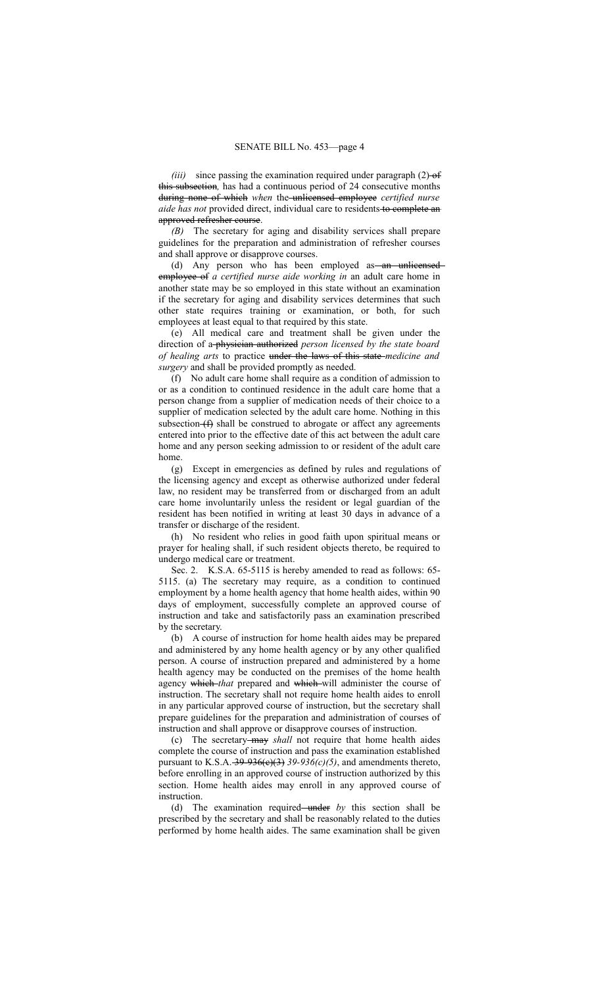*(iii)* since passing the examination required under paragraph  $(2)$ -of this subsection*,* has had a continuous period of 24 consecutive months during none of which *when* the unlicensed employee *certified nurse aide has not* provided direct, individual care to residents to complete an approved refresher course.

*(B)* The secretary for aging and disability services shall prepare guidelines for the preparation and administration of refresher courses and shall approve or disapprove courses.

(d) Any person who has been employed as an unlicensed employee of *a certified nurse aide working in* an adult care home in another state may be so employed in this state without an examination if the secretary for aging and disability services determines that such other state requires training or examination, or both, for such employees at least equal to that required by this state.

(e) All medical care and treatment shall be given under the direction of a physician authorized *person licensed by the state board of healing arts* to practice under the laws of this state *medicine and surgery* and shall be provided promptly as needed.

(f) No adult care home shall require as a condition of admission to or as a condition to continued residence in the adult care home that a person change from a supplier of medication needs of their choice to a supplier of medication selected by the adult care home. Nothing in this subsection  $(f)$  shall be construed to abrogate or affect any agreements entered into prior to the effective date of this act between the adult care home and any person seeking admission to or resident of the adult care home.

(g) Except in emergencies as defined by rules and regulations of the licensing agency and except as otherwise authorized under federal law, no resident may be transferred from or discharged from an adult care home involuntarily unless the resident or legal guardian of the resident has been notified in writing at least 30 days in advance of a transfer or discharge of the resident.

(h) No resident who relies in good faith upon spiritual means or prayer for healing shall, if such resident objects thereto, be required to undergo medical care or treatment.

Sec. 2. K.S.A. 65-5115 is hereby amended to read as follows: 65- 5115. (a) The secretary may require, as a condition to continued employment by a home health agency that home health aides, within 90 days of employment, successfully complete an approved course of instruction and take and satisfactorily pass an examination prescribed by the secretary.

(b) A course of instruction for home health aides may be prepared and administered by any home health agency or by any other qualified person. A course of instruction prepared and administered by a home health agency may be conducted on the premises of the home health agency which *that* prepared and which will administer the course of instruction. The secretary shall not require home health aides to enroll in any particular approved course of instruction, but the secretary shall prepare guidelines for the preparation and administration of courses of instruction and shall approve or disapprove courses of instruction.

(c) The secretary may *shall* not require that home health aides complete the course of instruction and pass the examination established pursuant to K.S.A.  $-39-936(e)(3)$  39-936(c)(5), and amendments thereto, before enrolling in an approved course of instruction authorized by this section. Home health aides may enroll in any approved course of **instruction** 

(d) The examination required—under by this section shall be prescribed by the secretary and shall be reasonably related to the duties performed by home health aides. The same examination shall be given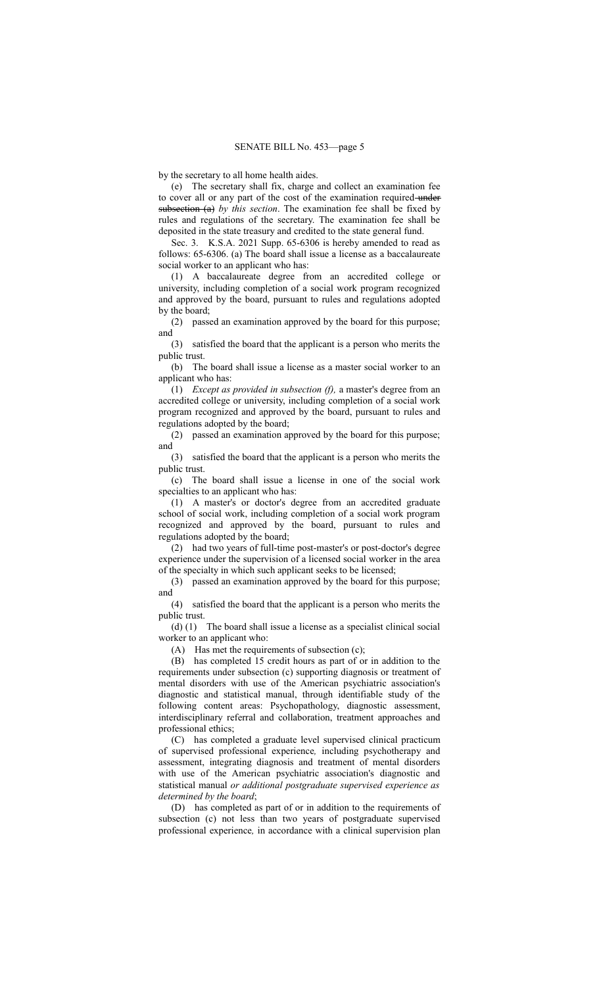by the secretary to all home health aides.

(e) The secretary shall fix, charge and collect an examination fee to cover all or any part of the cost of the examination required undersubsection (a) *by this section*. The examination fee shall be fixed by rules and regulations of the secretary. The examination fee shall be deposited in the state treasury and credited to the state general fund.

Sec. 3. K.S.A. 2021 Supp. 65-6306 is hereby amended to read as follows: 65-6306. (a) The board shall issue a license as a baccalaureate social worker to an applicant who has:

(1) A baccalaureate degree from an accredited college or university, including completion of a social work program recognized and approved by the board, pursuant to rules and regulations adopted by the board;

(2) passed an examination approved by the board for this purpose; and

(3) satisfied the board that the applicant is a person who merits the public trust.

(b) The board shall issue a license as a master social worker to an applicant who has:

(1) *Except as provided in subsection (f),* a master's degree from an accredited college or university, including completion of a social work program recognized and approved by the board, pursuant to rules and regulations adopted by the board;

(2) passed an examination approved by the board for this purpose; and

(3) satisfied the board that the applicant is a person who merits the public trust.

(c) The board shall issue a license in one of the social work specialties to an applicant who has:

(1) A master's or doctor's degree from an accredited graduate school of social work, including completion of a social work program recognized and approved by the board, pursuant to rules and regulations adopted by the board;

(2) had two years of full-time post-master's or post-doctor's degree experience under the supervision of a licensed social worker in the area of the specialty in which such applicant seeks to be licensed;

(3) passed an examination approved by the board for this purpose; and

(4) satisfied the board that the applicant is a person who merits the public trust.

(d) (1) The board shall issue a license as a specialist clinical social worker to an applicant who:

(A) Has met the requirements of subsection (c);

(B) has completed 15 credit hours as part of or in addition to the requirements under subsection (c) supporting diagnosis or treatment of mental disorders with use of the American psychiatric association's diagnostic and statistical manual, through identifiable study of the following content areas: Psychopathology, diagnostic assessment, interdisciplinary referral and collaboration, treatment approaches and professional ethics;

(C) has completed a graduate level supervised clinical practicum of supervised professional experience*,* including psychotherapy and assessment, integrating diagnosis and treatment of mental disorders with use of the American psychiatric association's diagnostic and statistical manual *or additional postgraduate supervised experience as determined by the board*;

(D) has completed as part of or in addition to the requirements of subsection (c) not less than two years of postgraduate supervised professional experience*,* in accordance with a clinical supervision plan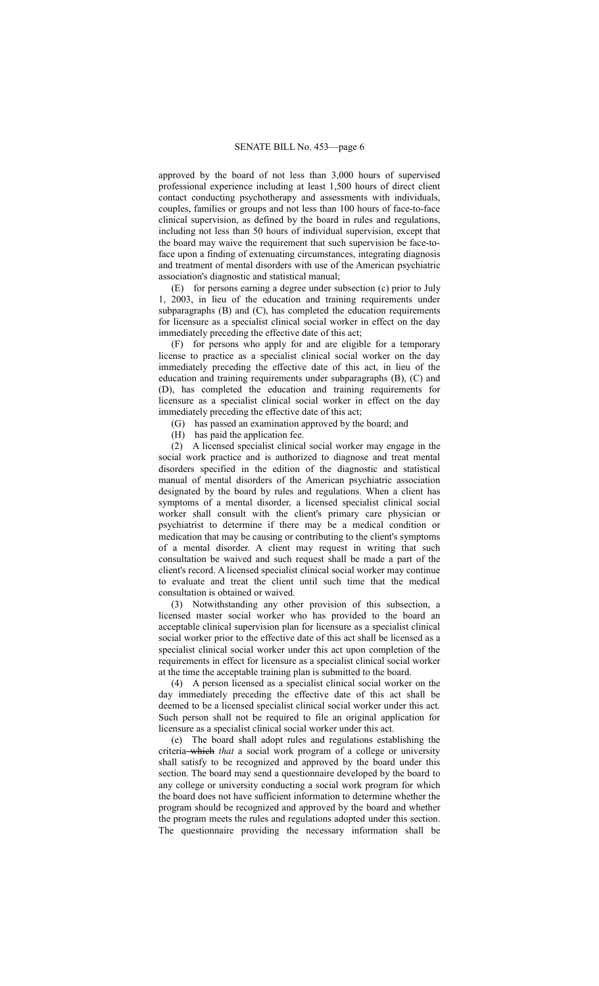approved by the board of not less than 3,000 hours of supervised professional experience including at least 1,500 hours of direct client contact conducting psychotherapy and assessments with individuals, couples, families or groups and not less than 100 hours of face-to-face clinical supervision, as defined by the board in rules and regulations, including not less than 50 hours of individual supervision, except that the board may waive the requirement that such supervision be face-toface upon a finding of extenuating circumstances, integrating diagnosis and treatment of mental disorders with use of the American psychiatric association's diagnostic and statistical manual;

(E) for persons earning a degree under subsection (c) prior to July 1, 2003, in lieu of the education and training requirements under subparagraphs (B) and (C), has completed the education requirements for licensure as a specialist clinical social worker in effect on the day immediately preceding the effective date of this act;

(F) for persons who apply for and are eligible for a temporary license to practice as a specialist clinical social worker on the day immediately preceding the effective date of this act, in lieu of the education and training requirements under subparagraphs (B), (C) and (D), has completed the education and training requirements for licensure as a specialist clinical social worker in effect on the day immediately preceding the effective date of this act;

(G) has passed an examination approved by the board; and

(H) has paid the application fee.

(2) A licensed specialist clinical social worker may engage in the social work practice and is authorized to diagnose and treat mental disorders specified in the edition of the diagnostic and statistical manual of mental disorders of the American psychiatric association designated by the board by rules and regulations. When a client has symptoms of a mental disorder, a licensed specialist clinical social worker shall consult with the client's primary care physician or psychiatrist to determine if there may be a medical condition or medication that may be causing or contributing to the client's symptoms of a mental disorder. A client may request in writing that such consultation be waived and such request shall be made a part of the client's record. A licensed specialist clinical social worker may continue to evaluate and treat the client until such time that the medical consultation is obtained or waived.

(3) Notwithstanding any other provision of this subsection, a licensed master social worker who has provided to the board an acceptable clinical supervision plan for licensure as a specialist clinical social worker prior to the effective date of this act shall be licensed as a specialist clinical social worker under this act upon completion of the requirements in effect for licensure as a specialist clinical social worker at the time the acceptable training plan is submitted to the board.

(4) A person licensed as a specialist clinical social worker on the day immediately preceding the effective date of this act shall be deemed to be a licensed specialist clinical social worker under this act. Such person shall not be required to file an original application for licensure as a specialist clinical social worker under this act.

(e) The board shall adopt rules and regulations establishing the criteria which *that* a social work program of a college or university shall satisfy to be recognized and approved by the board under this section. The board may send a questionnaire developed by the board to any college or university conducting a social work program for which the board does not have sufficient information to determine whether the program should be recognized and approved by the board and whether the program meets the rules and regulations adopted under this section. The questionnaire providing the necessary information shall be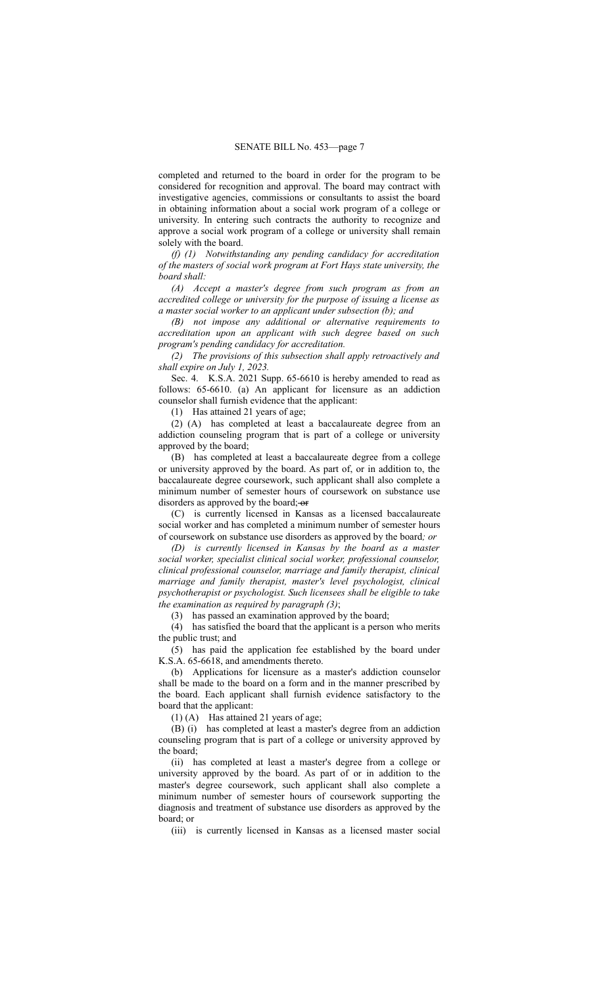completed and returned to the board in order for the program to be considered for recognition and approval. The board may contract with investigative agencies, commissions or consultants to assist the board in obtaining information about a social work program of a college or university. In entering such contracts the authority to recognize and approve a social work program of a college or university shall remain solely with the board.

*(f) (1) Notwithstanding any pending candidacy for accreditation of the masters of social work program at Fort Hays state university, the board shall:*

*(A) Accept a master's degree from such program as from an accredited college or university for the purpose of issuing a license as a master social worker to an applicant under subsection (b); and*

*(B) not impose any additional or alternative requirements to accreditation upon an applicant with such degree based on such program's pending candidacy for accreditation.*

*(2) The provisions of this subsection shall apply retroactively and shall expire on July 1, 2023.*

Sec. 4. K.S.A. 2021 Supp. 65-6610 is hereby amended to read as follows: 65-6610. (a) An applicant for licensure as an addiction counselor shall furnish evidence that the applicant:

(1) Has attained 21 years of age;

(2) (A) has completed at least a baccalaureate degree from an addiction counseling program that is part of a college or university approved by the board;

(B) has completed at least a baccalaureate degree from a college or university approved by the board. As part of, or in addition to, the baccalaureate degree coursework, such applicant shall also complete a minimum number of semester hours of coursework on substance use disorders as approved by the board; or

(C) is currently licensed in Kansas as a licensed baccalaureate social worker and has completed a minimum number of semester hours of coursework on substance use disorders as approved by the board*; or*

*(D) is currently licensed in Kansas by the board as a master social worker, specialist clinical social worker, professional counselor, clinical professional counselor, marriage and family therapist, clinical marriage and family therapist, master's level psychologist, clinical psychotherapist or psychologist. Such licensees shall be eligible to take the examination as required by paragraph (3)*;

(3) has passed an examination approved by the board;

(4) has satisfied the board that the applicant is a person who merits the public trust; and

(5) has paid the application fee established by the board under K.S.A. 65-6618, and amendments thereto.

(b) Applications for licensure as a master's addiction counselor shall be made to the board on a form and in the manner prescribed by the board. Each applicant shall furnish evidence satisfactory to the board that the applicant:

(1) (A) Has attained 21 years of age;

(B) (i) has completed at least a master's degree from an addiction counseling program that is part of a college or university approved by the board;

(ii) has completed at least a master's degree from a college or university approved by the board. As part of or in addition to the master's degree coursework, such applicant shall also complete a minimum number of semester hours of coursework supporting the diagnosis and treatment of substance use disorders as approved by the board; or

(iii) is currently licensed in Kansas as a licensed master social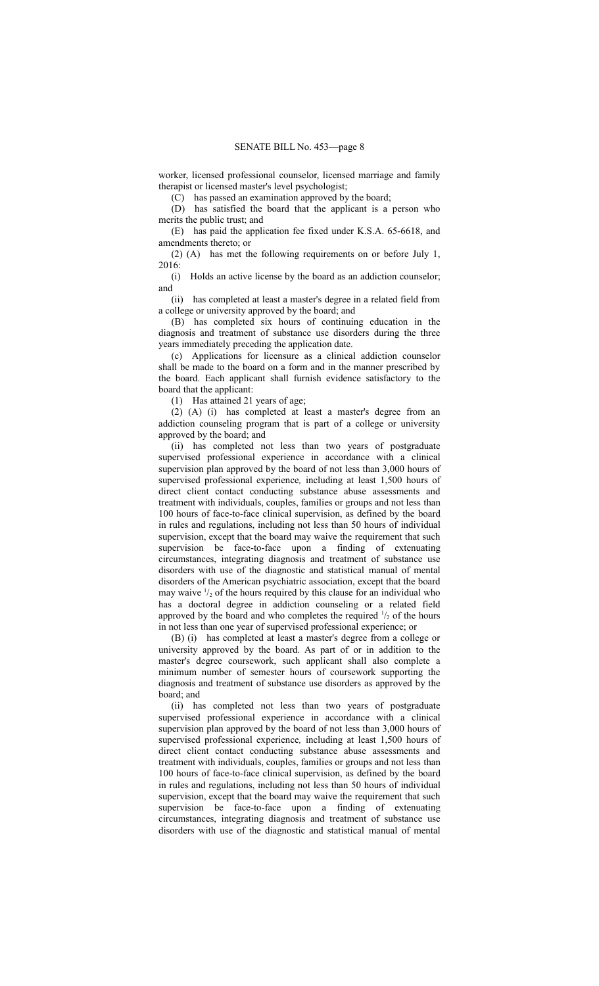worker, licensed professional counselor, licensed marriage and family therapist or licensed master's level psychologist;

(C) has passed an examination approved by the board;

(D) has satisfied the board that the applicant is a person who merits the public trust; and

(E) has paid the application fee fixed under K.S.A. 65-6618, and amendments thereto; or

(2) (A) has met the following requirements on or before July 1, 2016:

(i) Holds an active license by the board as an addiction counselor; and

(ii) has completed at least a master's degree in a related field from a college or university approved by the board; and

(B) has completed six hours of continuing education in the diagnosis and treatment of substance use disorders during the three years immediately preceding the application date.

(c) Applications for licensure as a clinical addiction counselor shall be made to the board on a form and in the manner prescribed by the board. Each applicant shall furnish evidence satisfactory to the board that the applicant:

(1) Has attained 21 years of age;

(2) (A) (i) has completed at least a master's degree from an addiction counseling program that is part of a college or university approved by the board; and

(ii) has completed not less than two years of postgraduate supervised professional experience in accordance with a clinical supervision plan approved by the board of not less than 3,000 hours of supervised professional experience*,* including at least 1,500 hours of direct client contact conducting substance abuse assessments and treatment with individuals, couples, families or groups and not less than 100 hours of face-to-face clinical supervision, as defined by the board in rules and regulations, including not less than 50 hours of individual supervision, except that the board may waive the requirement that such supervision be face-to-face upon a finding of extenuating circumstances, integrating diagnosis and treatment of substance use disorders with use of the diagnostic and statistical manual of mental disorders of the American psychiatric association, except that the board may waive  $\frac{1}{2}$  of the hours required by this clause for an individual who has a doctoral degree in addiction counseling or a related field approved by the board and who completes the required  $\frac{1}{2}$  of the hours in not less than one year of supervised professional experience; or

(B) (i) has completed at least a master's degree from a college or university approved by the board. As part of or in addition to the master's degree coursework, such applicant shall also complete a minimum number of semester hours of coursework supporting the diagnosis and treatment of substance use disorders as approved by the board; and

(ii) has completed not less than two years of postgraduate supervised professional experience in accordance with a clinical supervision plan approved by the board of not less than 3,000 hours of supervised professional experience*,* including at least 1,500 hours of direct client contact conducting substance abuse assessments and treatment with individuals, couples, families or groups and not less than 100 hours of face-to-face clinical supervision, as defined by the board in rules and regulations, including not less than 50 hours of individual supervision, except that the board may waive the requirement that such supervision be face-to-face upon a finding of extenuating circumstances, integrating diagnosis and treatment of substance use disorders with use of the diagnostic and statistical manual of mental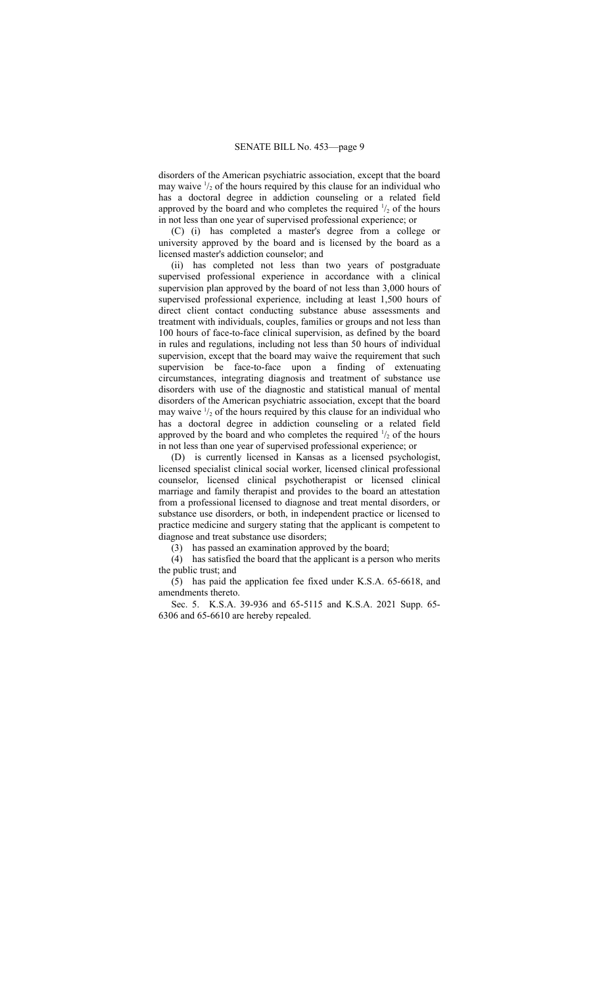disorders of the American psychiatric association, except that the board may waive  $\frac{1}{2}$  of the hours required by this clause for an individual who has a doctoral degree in addiction counseling or a related field approved by the board and who completes the required  $\frac{1}{2}$  of the hours in not less than one year of supervised professional experience; or

(C) (i) has completed a master's degree from a college or university approved by the board and is licensed by the board as a licensed master's addiction counselor; and

(ii) has completed not less than two years of postgraduate supervised professional experience in accordance with a clinical supervision plan approved by the board of not less than 3,000 hours of supervised professional experience*,* including at least 1,500 hours of direct client contact conducting substance abuse assessments and treatment with individuals, couples, families or groups and not less than 100 hours of face-to-face clinical supervision, as defined by the board in rules and regulations, including not less than 50 hours of individual supervision, except that the board may waive the requirement that such supervision be face-to-face upon a finding of extenuating circumstances, integrating diagnosis and treatment of substance use disorders with use of the diagnostic and statistical manual of mental disorders of the American psychiatric association, except that the board may waive  $\frac{1}{2}$  of the hours required by this clause for an individual who has a doctoral degree in addiction counseling or a related field approved by the board and who completes the required  $\frac{1}{2}$  of the hours in not less than one year of supervised professional experience; or

(D) is currently licensed in Kansas as a licensed psychologist, licensed specialist clinical social worker, licensed clinical professional counselor, licensed clinical psychotherapist or licensed clinical marriage and family therapist and provides to the board an attestation from a professional licensed to diagnose and treat mental disorders, or substance use disorders, or both, in independent practice or licensed to practice medicine and surgery stating that the applicant is competent to diagnose and treat substance use disorders;

(3) has passed an examination approved by the board;

(4) has satisfied the board that the applicant is a person who merits the public trust; and

(5) has paid the application fee fixed under K.S.A. 65-6618, and amendments thereto.

Sec. 5. K.S.A. 39-936 and 65-5115 and K.S.A. 2021 Supp. 65- 6306 and 65-6610 are hereby repealed.